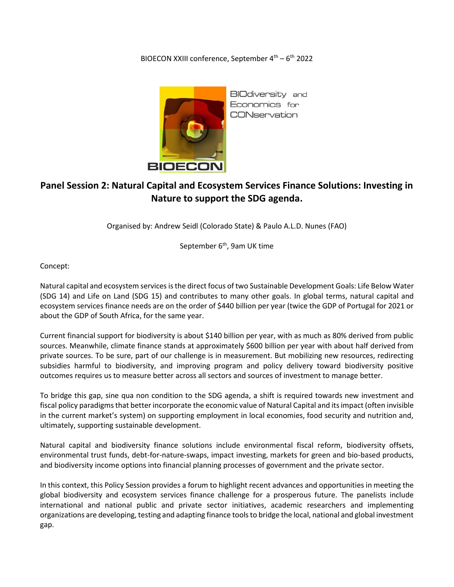## BIOECON XXIII conference, September 4<sup>th</sup> – 6<sup>th</sup> 2022



**BIOdiversity** and Economics for **CONservation** 

## **Panel Session 2: Natural Capital and Ecosystem Services Finance Solutions: Investing in Nature to support the SDG agenda.**

Organised by: Andrew Seidl (Colorado State) & Paulo A.L.D. Nunes (FAO)

September 6<sup>th</sup>, 9am UK time

Concept:

Natural capital and ecosystem services is the direct focus of two Sustainable Development Goals: Life Below Water (SDG 14) and Life on Land (SDG 15) and contributes to many other goals. In global terms, natural capital and ecosystem services finance needs are on the order of \$440 billion per year (twice the GDP of Portugal for 2021 or about the GDP of South Africa, for the same year.

Current financial support for biodiversity is about \$140 billion per year, with as much as 80% derived from public sources. Meanwhile, climate finance stands at approximately \$600 billion per year with about half derived from private sources. To be sure, part of our challenge is in measurement. But mobilizing new resources, redirecting subsidies harmful to biodiversity, and improving program and policy delivery toward biodiversity positive outcomes requires us to measure better across all sectors and sources of investment to manage better.

To bridge this gap, sine qua non condition to the SDG agenda, a shift is required towards new investment and fiscal policy paradigms that better incorporate the economic value of Natural Capital and its impact (often invisible in the current market's system) on supporting employment in local economies, food security and nutrition and, ultimately, supporting sustainable development.

Natural capital and biodiversity finance solutions include environmental fiscal reform, biodiversity offsets, environmental trust funds, debt-for-nature-swaps, impact investing, markets for green and bio-based products, and biodiversity income options into financial planning processes of government and the private sector.

In this context, this Policy Session provides a forum to highlight recent advances and opportunities in meeting the global biodiversity and ecosystem services finance challenge for a prosperous future. The panelists include international and national public and private sector initiatives, academic researchers and implementing organizations are developing, testing and adapting finance tools to bridge the local, national and global investment gap.